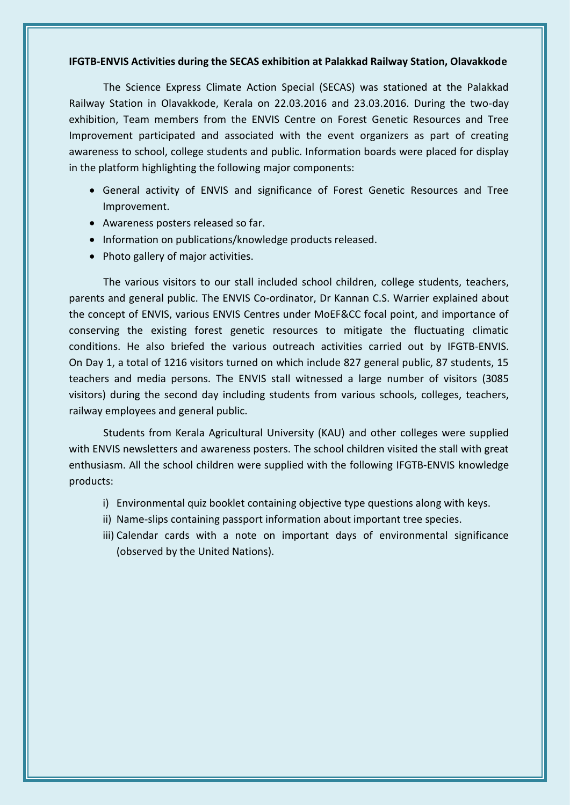## **IFGTB-ENVIS Activities during the SECAS exhibition at Palakkad Railway Station, Olavakkode**

The Science Express Climate Action Special (SECAS) was stationed at the Palakkad Railway Station in Olavakkode, Kerala on 22.03.2016 and 23.03.2016. During the two-day exhibition, Team members from the ENVIS Centre on Forest Genetic Resources and Tree Improvement participated and associated with the event organizers as part of creating awareness to school, college students and public. Information boards were placed for display in the platform highlighting the following major components:

- General activity of ENVIS and significance of Forest Genetic Resources and Tree Improvement.
- Awareness posters released so far.
- Information on publications/knowledge products released.
- Photo gallery of major activities.

The various visitors to our stall included school children, college students, teachers, parents and general public. The ENVIS Co-ordinator, Dr Kannan C.S. Warrier explained about the concept of ENVIS, various ENVIS Centres under MoEF&CC focal point, and importance of conserving the existing forest genetic resources to mitigate the fluctuating climatic conditions. He also briefed the various outreach activities carried out by IFGTB-ENVIS. On Day 1, a total of 1216 visitors turned on which include 827 general public, 87 students, 15 teachers and media persons. The ENVIS stall witnessed a large number of visitors (3085 visitors) during the second day including students from various schools, colleges, teachers, railway employees and general public.

Students from Kerala Agricultural University (KAU) and other colleges were supplied with ENVIS newsletters and awareness posters. The school children visited the stall with great enthusiasm. All the school children were supplied with the following IFGTB-ENVIS knowledge products:

- i) Environmental quiz booklet containing objective type questions along with keys.
- ii) Name-slips containing passport information about important tree species.
- iii) Calendar cards with a note on important days of environmental significance (observed by the United Nations).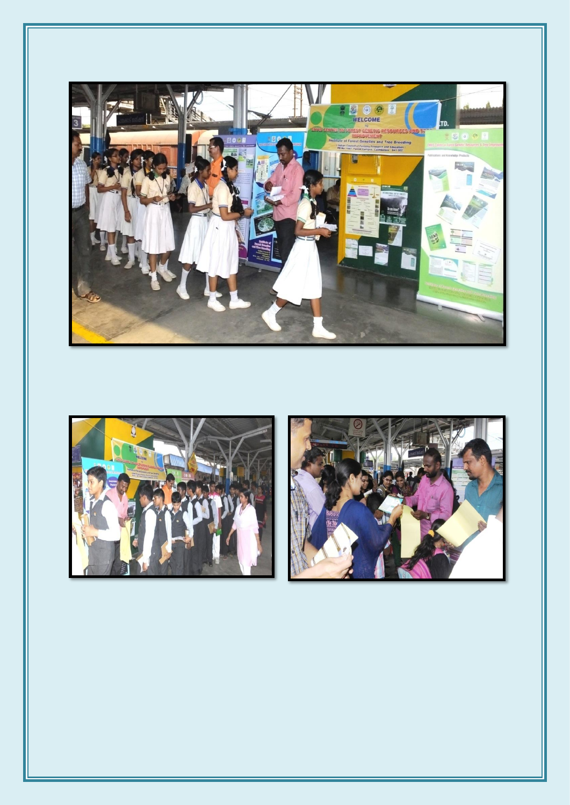